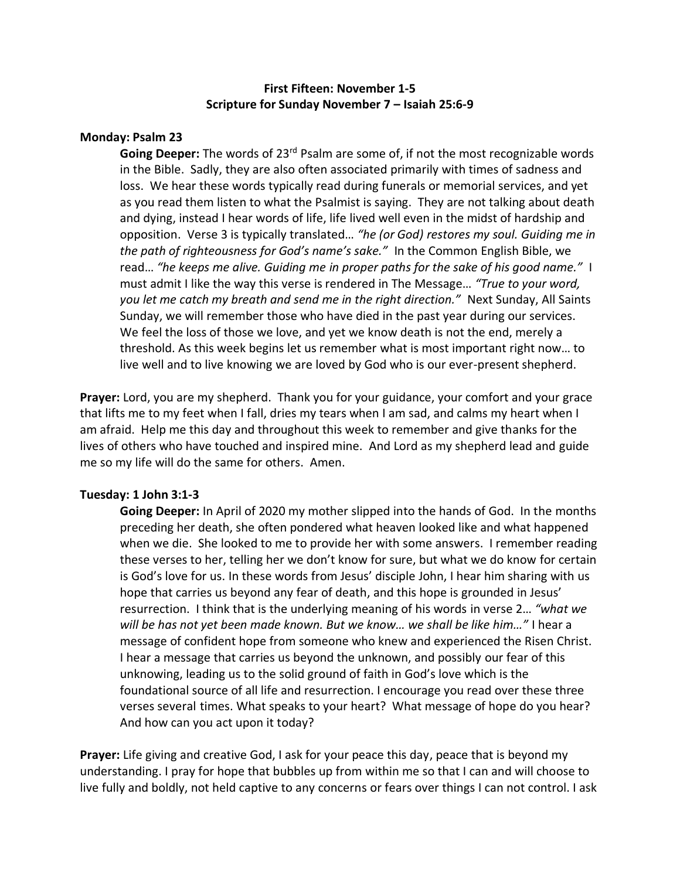# **First Fifteen: November 1-5 Scripture for Sunday November 7 – Isaiah 25:6-9**

# **Monday: Psalm 23**

**Going Deeper:** The words of 23rd Psalm are some of, if not the most recognizable words in the Bible. Sadly, they are also often associated primarily with times of sadness and loss. We hear these words typically read during funerals or memorial services, and yet as you read them listen to what the Psalmist is saying. They are not talking about death and dying, instead I hear words of life, life lived well even in the midst of hardship and opposition. Verse 3 is typically translated… *"he (or God) restores my soul. Guiding me in the path of righteousness for God's name's sake."* In the Common English Bible, we read… *"he keeps me alive. Guiding me in proper paths for the sake of his good name."* I must admit I like the way this verse is rendered in The Message… *"True to your word, you let me catch my breath and send me in the right direction."* Next Sunday, All Saints Sunday, we will remember those who have died in the past year during our services. We feel the loss of those we love, and yet we know death is not the end, merely a threshold. As this week begins let us remember what is most important right now… to live well and to live knowing we are loved by God who is our ever-present shepherd.

Prayer: Lord, you are my shepherd. Thank you for your guidance, your comfort and your grace that lifts me to my feet when I fall, dries my tears when I am sad, and calms my heart when I am afraid. Help me this day and throughout this week to remember and give thanks for the lives of others who have touched and inspired mine. And Lord as my shepherd lead and guide me so my life will do the same for others. Amen.

# **Tuesday: 1 John 3:1-3**

**Going Deeper:** In April of 2020 my mother slipped into the hands of God. In the months preceding her death, she often pondered what heaven looked like and what happened when we die. She looked to me to provide her with some answers. I remember reading these verses to her, telling her we don't know for sure, but what we do know for certain is God's love for us. In these words from Jesus' disciple John, I hear him sharing with us hope that carries us beyond any fear of death, and this hope is grounded in Jesus' resurrection. I think that is the underlying meaning of his words in verse 2… *"what we will be has not yet been made known. But we know… we shall be like him…"* I hear a message of confident hope from someone who knew and experienced the Risen Christ. I hear a message that carries us beyond the unknown, and possibly our fear of this unknowing, leading us to the solid ground of faith in God's love which is the foundational source of all life and resurrection. I encourage you read over these three verses several times. What speaks to your heart? What message of hope do you hear? And how can you act upon it today?

**Prayer:** Life giving and creative God, I ask for your peace this day, peace that is beyond my understanding. I pray for hope that bubbles up from within me so that I can and will choose to live fully and boldly, not held captive to any concerns or fears over things I can not control. I ask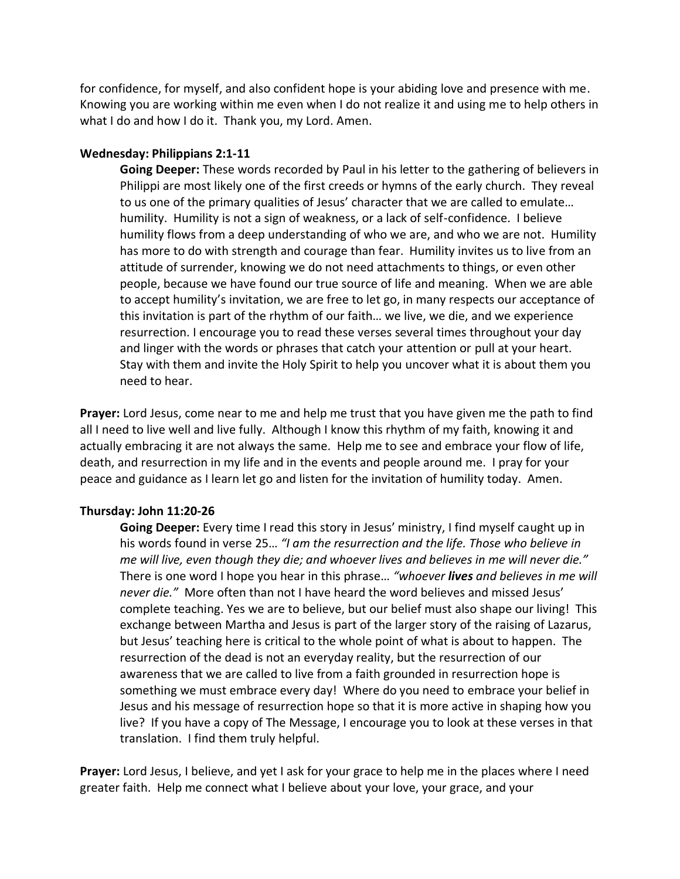for confidence, for myself, and also confident hope is your abiding love and presence with me. Knowing you are working within me even when I do not realize it and using me to help others in what I do and how I do it. Thank you, my Lord. Amen.

### **Wednesday: Philippians 2:1-11**

**Going Deeper:** These words recorded by Paul in his letter to the gathering of believers in Philippi are most likely one of the first creeds or hymns of the early church. They reveal to us one of the primary qualities of Jesus' character that we are called to emulate… humility. Humility is not a sign of weakness, or a lack of self-confidence. I believe humility flows from a deep understanding of who we are, and who we are not. Humility has more to do with strength and courage than fear. Humility invites us to live from an attitude of surrender, knowing we do not need attachments to things, or even other people, because we have found our true source of life and meaning. When we are able to accept humility's invitation, we are free to let go, in many respects our acceptance of this invitation is part of the rhythm of our faith… we live, we die, and we experience resurrection. I encourage you to read these verses several times throughout your day and linger with the words or phrases that catch your attention or pull at your heart. Stay with them and invite the Holy Spirit to help you uncover what it is about them you need to hear.

**Prayer:** Lord Jesus, come near to me and help me trust that you have given me the path to find all I need to live well and live fully. Although I know this rhythm of my faith, knowing it and actually embracing it are not always the same. Help me to see and embrace your flow of life, death, and resurrection in my life and in the events and people around me. I pray for your peace and guidance as I learn let go and listen for the invitation of humility today. Amen.

# **Thursday: John 11:20-26**

**Going Deeper:** Every time I read this story in Jesus' ministry, I find myself caught up in his words found in verse 25… *"I am the resurrection and the life. Those who believe in me will live, even though they die; and whoever lives and believes in me will never die."*  There is one word I hope you hear in this phrase… *"whoever lives and believes in me will never die."* More often than not I have heard the word believes and missed Jesus' complete teaching. Yes we are to believe, but our belief must also shape our living! This exchange between Martha and Jesus is part of the larger story of the raising of Lazarus, but Jesus' teaching here is critical to the whole point of what is about to happen. The resurrection of the dead is not an everyday reality, but the resurrection of our awareness that we are called to live from a faith grounded in resurrection hope is something we must embrace every day! Where do you need to embrace your belief in Jesus and his message of resurrection hope so that it is more active in shaping how you live? If you have a copy of The Message, I encourage you to look at these verses in that translation. I find them truly helpful.

**Prayer:** Lord Jesus, I believe, and yet I ask for your grace to help me in the places where I need greater faith. Help me connect what I believe about your love, your grace, and your